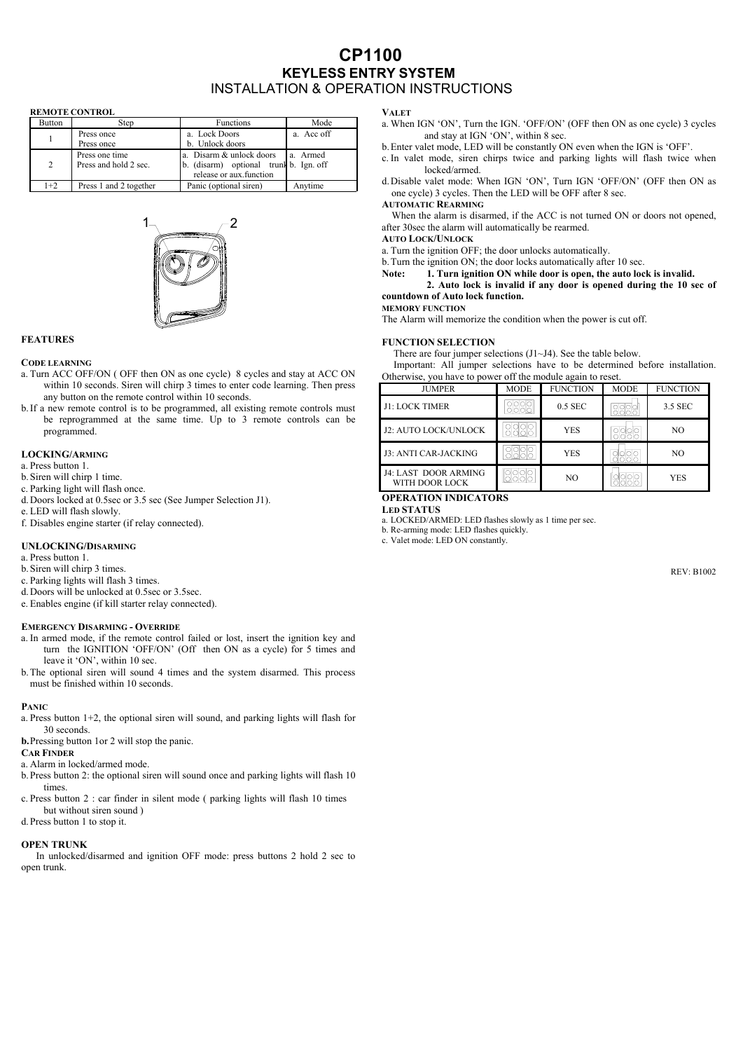# **CP1100 KEYLESS ENTRY SYSTEM**  INSTALLATION & OPERATION INSTRUCTIONS

#### **REMOTE CONTROL**

| <b>Button</b> | Step                   | <b>Functions</b>                       | Mode       |
|---------------|------------------------|----------------------------------------|------------|
|               | Press once             | a. Lock Doors                          | a. Acc off |
|               | Press once             | b. Unlock doors                        |            |
|               | Press one time         | a. Disarm & unlock doors               | a. Armed   |
| 2             | Press and hold 2 sec.  | b. (disarm) optional trunk b. Ign. off |            |
|               |                        | release or aux function                |            |
| $1+2$         | Press 1 and 2 together | Panic (optional siren)                 | Anvtime    |



### **FEATURES**

#### **CODE LEARNING**

- a. Turn ACC OFF/ON ( OFF then ON as one cycle) 8 cycles and stay at ACC ON within 10 seconds. Siren will chirp 3 times to enter code learning. Then press any button on the remote control within 10 seconds.
- b.If a new remote control is to be programmed, all existing remote controls must be reprogrammed at the same time. Up to 3 remote controls can be programmed.

#### **LOCKING/ARMING**

- a. Press button 1.
- b.Siren will chirp 1 time.
- c. Parking light will flash once.
- d.Doors locked at 0.5sec or 3.5 sec (See Jumper Selection J1).
- e. LED will flash slowly.
- f. Disables engine starter (if relay connected).

#### **UNLOCKING/DISARMING**

- a. Press button 1.
- b.Siren will chirp 3 times.
- c. Parking lights will flash 3 times.
- d.Doors will be unlocked at 0.5sec or 3.5sec.
- e. Enables engine (if kill starter relay connected).

#### **EMERGENCY DISARMING - OVERRIDE**

- a. In armed mode, if the remote control failed or lost, insert the ignition key and turn the IGNITION 'OFF/ON' (Off then ON as a cycle) for 5 times and leave it 'ON', within 10 sec.
- b.The optional siren will sound 4 times and the system disarmed. This process must be finished within 10 seconds.

#### **PANIC**

- a. Press button 1+2, the optional siren will sound, and parking lights will flash for 30 seconds.
- **b.**Pressing button 1or 2 will stop the panic.
- **CAR FINDER**
- a. Alarm in locked/armed mode.
- b.Press button 2: the optional siren will sound once and parking lights will flash 10 times.
- c. Press button 2 : car finder in silent mode ( parking lights will flash 10 times but without siren sound )
- d.Press button 1 to stop it.

#### **OPEN TRUNK**

 In unlocked/disarmed and ignition OFF mode: press buttons 2 hold 2 sec to open trunk.

#### **VALET**

- a. When IGN 'ON', Turn the IGN. 'OFF/ON' (OFF then ON as one cycle) 3 cycles and stay at IGN 'ON', within 8 sec.
- b.Enter valet mode, LED will be constantly ON even when the IGN is 'OFF'.
- c. In valet mode, siren chirps twice and parking lights will flash twice when locked/armed.
- d.Disable valet mode: When IGN 'ON', Turn IGN 'OFF/ON' (OFF then ON as one cycle) 3 cycles. Then the LED will be OFF after 8 sec.

## **AUTOMATIC REARMING**

When the alarm is disarmed, if the ACC is not turned ON or doors not opened, after 30sec the alarm will automatically be rearmed.

**AUTO LOCK/UNLOCK**

- a. Turn the ignition OFF; the door unlocks automatically.
- b.Turn the ignition ON; the door locks automatically after 10 sec.
- **Note: 1. Turn ignition ON while door is open, the auto lock is invalid.**

**2. Auto lock is invalid if any door is opened during the 10 sec of countdown of Auto lock function.**

# **MEMORY FUNCTION**

The Alarm will memorize the condition when the power is cut off.

#### **FUNCTION SELECTION**

There are four jumper selections (J1~J4). See the table below.

Important: All jumper selections have to be determined before installation. Otherwise, you have to power off the module again to reset.

| <b>JUMPER</b>                                 | <b>MODE</b> | <b>FUNCTION</b> | <b>MODE</b> | <b>FUNCTION</b> |
|-----------------------------------------------|-------------|-----------------|-------------|-----------------|
| J1: LOCK TIMER                                |             | 0.5 SEC         |             | 3.5 SEC         |
| J2: AUTO LOCK/UNLOCK                          |             | <b>YES</b>      |             | NO.             |
| J3: ANTI CAR-JACKING                          |             | <b>YES</b>      |             | NO.             |
| <b>J4: LAST DOOR ARMING</b><br>WITH DOOR LOCK |             | NO              |             | <b>YES</b>      |

## **OPERATION INDICATORS**

**LED STATUS**

a. LOCKED/ARMED: LED flashes slowly as 1 time per sec.

b. Re-arming mode: LED flashes quickly.

c. Valet mode: LED ON constantly.

REV: B1002